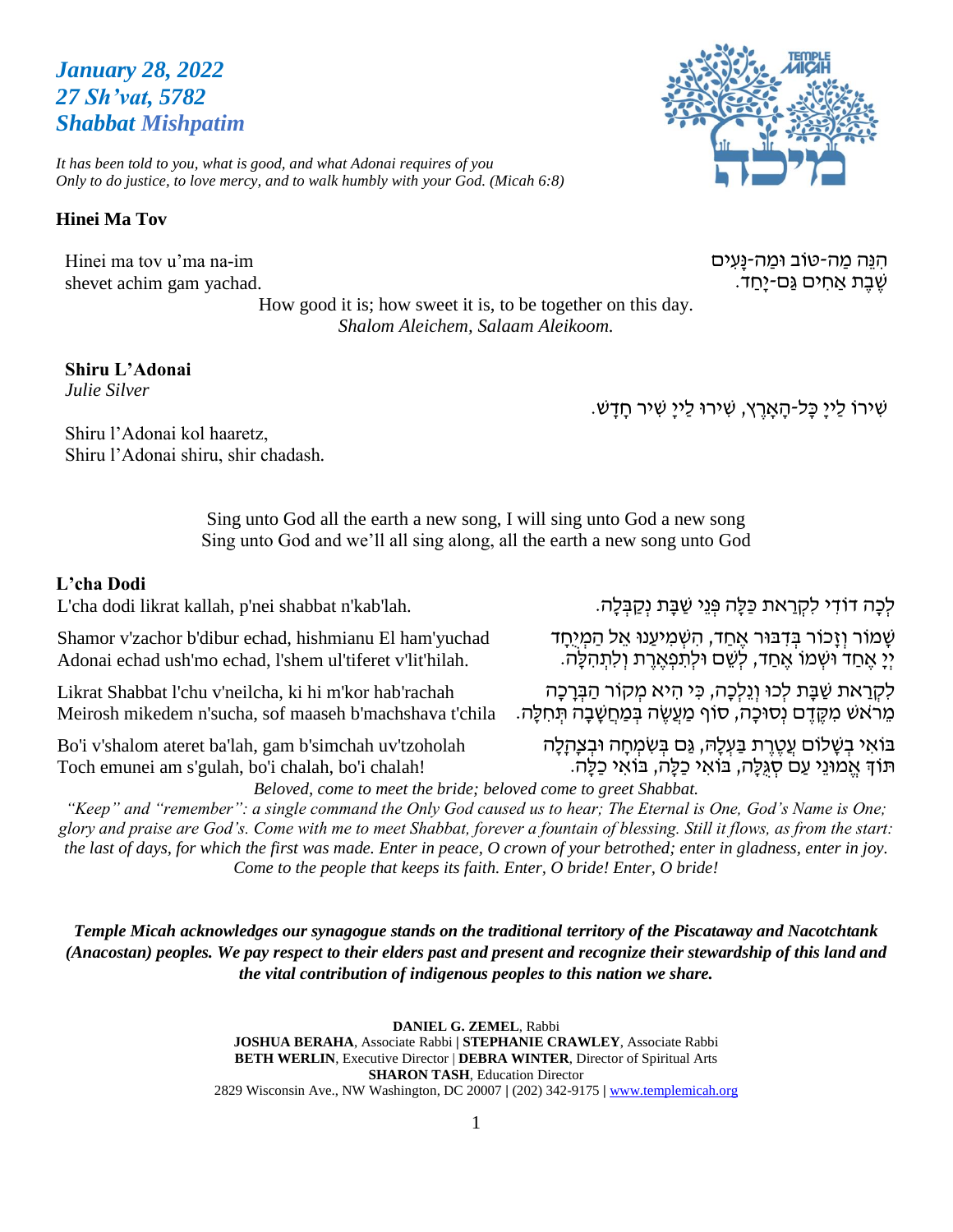# *January 28, 2022 27 Sh'vat, 5782 Shabbat Mishpatim*

*It has been told to you, what is good, and what Adonai requires of you Only to do justice, to love mercy, and to walk humbly with your God. (Micah 6:8)*

### **Hinei Ma Tov**

Hinei ma tov u'ma na-im shevet achim gam yachad.

Shiru l'Adonai kol haaretz,

Shiru l'Adonai shiru, shir chadash*.* 

How good it is; how sweet it is, to be together on this day. *Shalom Aleichem, Salaam Aleikoom.*

### **Shiru L'Adonai**

*Julie Silver*

ּ שִׁירוֹ לַיִיָּ כָּל-הָאָרֵץ, שִׁירוּ לַיִיָּ שִׁיר חָדָשׁ.

Sing unto God all the earth a new song, I will sing unto God a new song Sing unto God and we'll all sing along, all the earth a new song unto God

#### **L'cha Dodi**

L'cha dodi likrat kallah, p'nei shabbat n'kab'lah.

Shamor v'zachor b'dibur echad, hishmianu El ham'yuchad Adonai echad ush'mo echad, l'shem ul'tiferet v'lit'hilah.

Likrat Shabbat l'chu v'neilcha, ki hi m'kor hab'rachah Meirosh mikedem n'sucha, sof maaseh b'machshava t'chila

Bo'i v'shalom ateret ba'lah, gam b'simchah uv'tzoholah Toch emunei am s'gulah, bo'i chalah, bo'i chalah!

לְכָה דוֹדִי לִקְרַאת כַּלָּה פְּגֵי שַׁבָּת נִקַבְּלָה.

ּשָׁ מֹוֹר וְזָכוֹר בְּדִבּוּר אֶחַד, הִשְׁמִיעַנוּ אֵל הַמְיָחָד יִיַּ אֶחַד וּשְׁמוֹ אֶחַד, לְשֶׁם וּלִתְפְאֱרֶת וְלִתְהְלָּה.

לִקְרַאת שַׁבָּת לְכוּ וְגֵלְכָה, כִּי הִיא מִקוֹר הַבְּרָכָה ּ מֵרֹאשׁ מִקֶּדֶם נְסוּכָה, סוֹף מַעֲשֶׂה בְּמַחֲשָׁבָה תִּחְלַּה.

בּוֹאִי בְשָׁלוֹם עֲטֶרֶת בַּעְלָהּ, גַּם בְּשִׂמְחָה וּבְצְהָלָה תֹוְך אֱ מּונֵּי עַם סְ גֻלָּה, בֹואִ י כַלָּה, בֹואִ י כַלָּה.

*Beloved, come to meet the bride; beloved come to greet Shabbat.*

*"Keep" and "remember": a single command the Only God caused us to hear; The Eternal is One, God's Name is One; glory and praise are God's. Come with me to meet Shabbat, forever a fountain of blessing. Still it flows, as from the start: the last of days, for which the first was made. Enter in peace, O crown of your betrothed; enter in gladness, enter in joy. Come to the people that keeps its faith. Enter, O bride! Enter, O bride!*

*Temple Micah acknowledges our synagogue stands on the traditional territory of the Piscataway and Nacotchtank (Anacostan) peoples. We pay respect to their elders past and present and recognize their stewardship of this land and the vital contribution of indigenous peoples to this nation we share.*

> **DANIEL G. ZEMEL**, Rabbi **JOSHUA BERAHA**, Associate Rabbi **| STEPHANIE CRAWLEY**, Associate Rabbi **BETH WERLIN**, Executive Director | **DEBRA WINTER**, Director of Spiritual Arts **SHARON TASH**, Education Director 2829 Wisconsin Ave., NW Washington, DC 20007 **|** (202) 342-9175 **|** [www.templemicah.org](http://www.templemicah.org/)



ּהְנֵּה מַה-טֹוב וּמַה-נַּעִים שֶׁבֶת אַחִים גַּם-י<u>ַח</u>ד.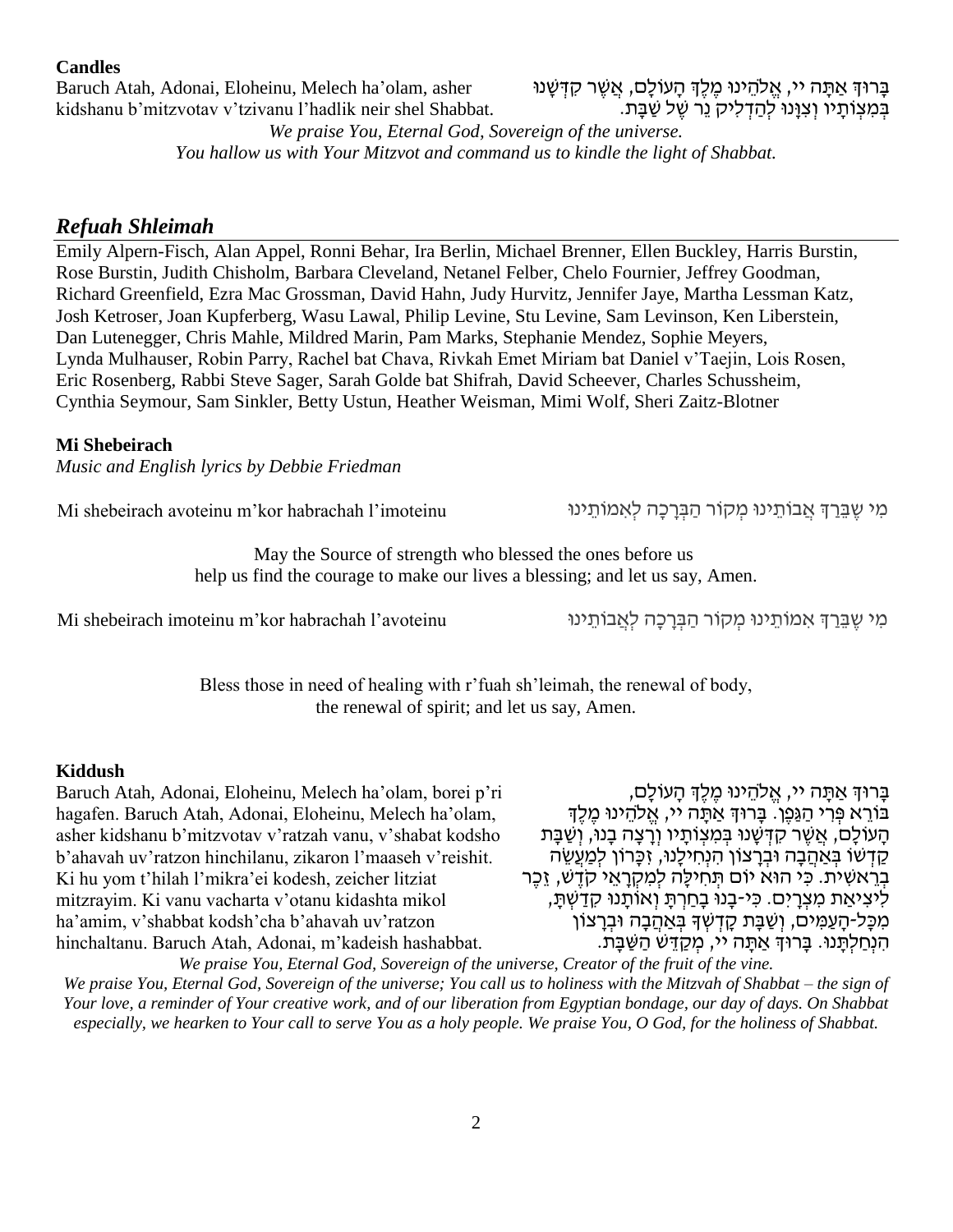#### **Candles**

Baruch Atah, Adonai, Eloheinu, Melech ha'olam, asher kidshanu b'mitzvotav v'tzivanu l'hadlik neir shel Shabbat.

### ּבְּרוּדְ אַתָּה יי, אֱלֹהֵינוּ מֶלֶדְּ הָעוֹלָם, אֲשֶׁר קִדְּשָׁנוּ בְּמִצְוֹתָיו וְצִוָּנוּ לְהַדְלִיק נֵר שֶׁל שַׁבָּת.

*We praise You, Eternal God, Sovereign of the universe. You hallow us with Your Mitzvot and command us to kindle the light of Shabbat.*

### *Refuah Shleimah*

Emily Alpern-Fisch, Alan Appel, Ronni Behar, Ira Berlin, Michael Brenner, Ellen Buckley, Harris Burstin, Rose Burstin, Judith Chisholm, Barbara Cleveland, Netanel Felber, Chelo Fournier, Jeffrey Goodman, Richard Greenfield, Ezra Mac Grossman, David Hahn, Judy Hurvitz, Jennifer Jaye, Martha Lessman Katz, Josh Ketroser, Joan Kupferberg, Wasu Lawal, Philip Levine, Stu Levine, Sam Levinson, Ken Liberstein, Dan Lutenegger, Chris Mahle, Mildred Marin, Pam Marks, Stephanie Mendez, Sophie Meyers, Lynda Mulhauser, Robin Parry, Rachel bat Chava, Rivkah Emet Miriam bat Daniel v'Taejin, Lois Rosen, Eric Rosenberg, Rabbi Steve Sager, Sarah Golde bat Shifrah, David Scheever, Charles Schussheim, Cynthia Seymour, Sam Sinkler, Betty Ustun, Heather Weisman, Mimi Wolf, Sheri Zaitz-Blotner

#### **Mi Shebeirach**

*Music and English lyrics by Debbie Friedman*

מִי שֵׁבֵּרַךְּ אֲבוֹתֵינוּ מִקוֹר הַבְּרָכָה לְאִמוֹתֵינוּ · Mi shebeirach avoteinu m'kor habrachah l'imoteinu

May the Source of strength who blessed the ones before us help us find the courage to make our lives a blessing; and let us say, Amen.

מִי שֶׁבֵּרַךְּ אִמוֹתֵינוּ מִקוֹר הַבְּרַכָּה לְאֲבוֹתֵינוּ  $\sim$  Mi shebeirach imoteinu m'kor habrachah l'avoteinu

Bless those in need of healing with r'fuah sh'leimah, the renewal of body, the renewal of spirit; and let us say, Amen.

#### **Kiddush**

Baruch Atah, Adonai, Eloheinu, Melech ha'olam, borei p'ri hagafen. Baruch Atah, Adonai, Eloheinu, Melech ha'olam, asher kidshanu b'mitzvotav v'ratzah vanu, v'shabat kodsho b'ahavah uv'ratzon hinchilanu, zikaron l'maaseh v'reishit. Ki hu yom t'hilah l'mikra'ei kodesh, zeicher litziat mitzrayim. Ki vanu vacharta v'otanu kidashta mikol ha'amim, v'shabbat kodsh'cha b'ahavah uv'ratzon hinchaltanu. Baruch Atah, Adonai, m'kadeish hashabbat.

ָבָּרוּדְּ אַתָּה יי, אֱלֹהֵינוּ מֵלֵדְ הָעוֹלָם, בּוֹרָא פְּרִי הַגֶּפֶן. בַּרוּךְ אַתָּה יי, אֱלֹהֵינוּ מֶלֶךְ הַעוֹלַם, אֲשֶׁר קִדְּשָׁנוּ בְּמִצְוֹתַיו וְרַצָּה בָנוּ, וְשַׁבָּת קַדְשׁוֹ בְּאַהֲבָה וּבְרַצוֹן הִנְחִילֵנוּ, זִכֲרוֹן לִמְעֵשֶׂה בְרֵאשִׁית. כִּי הוּא יוֹם תְּחִילַּה לִמְקָרָאֵי קֹדֶשׁ, זֶכֶּר לִיצִיאַת מִצְרַיִם. כִּי-בָנוּ בַחַרְתַּ וְאוֹתֲנוּ קִדַשְׁתַּ, ְמִכָּל-הָעַמְיִם, וְשַׁבָּת קָדְשְׁךָ בְּאַהֲבָה וּבְרָצוֹן הִ נְחַ לְתָּ נּו. בָּרּוְך אַ תָּ ה יי, מְ קַ דֵּ ש הַ שַ בָּ ת.

*We praise You, Eternal God, Sovereign of the universe, Creator of the fruit of the vine. We praise You, Eternal God, Sovereign of the universe; You call us to holiness with the Mitzvah of Shabbat – the sign of Your love, a reminder of Your creative work, and of our liberation from Egyptian bondage, our day of days. On Shabbat especially, we hearken to Your call to serve You as a holy people. We praise You, O God, for the holiness of Shabbat.*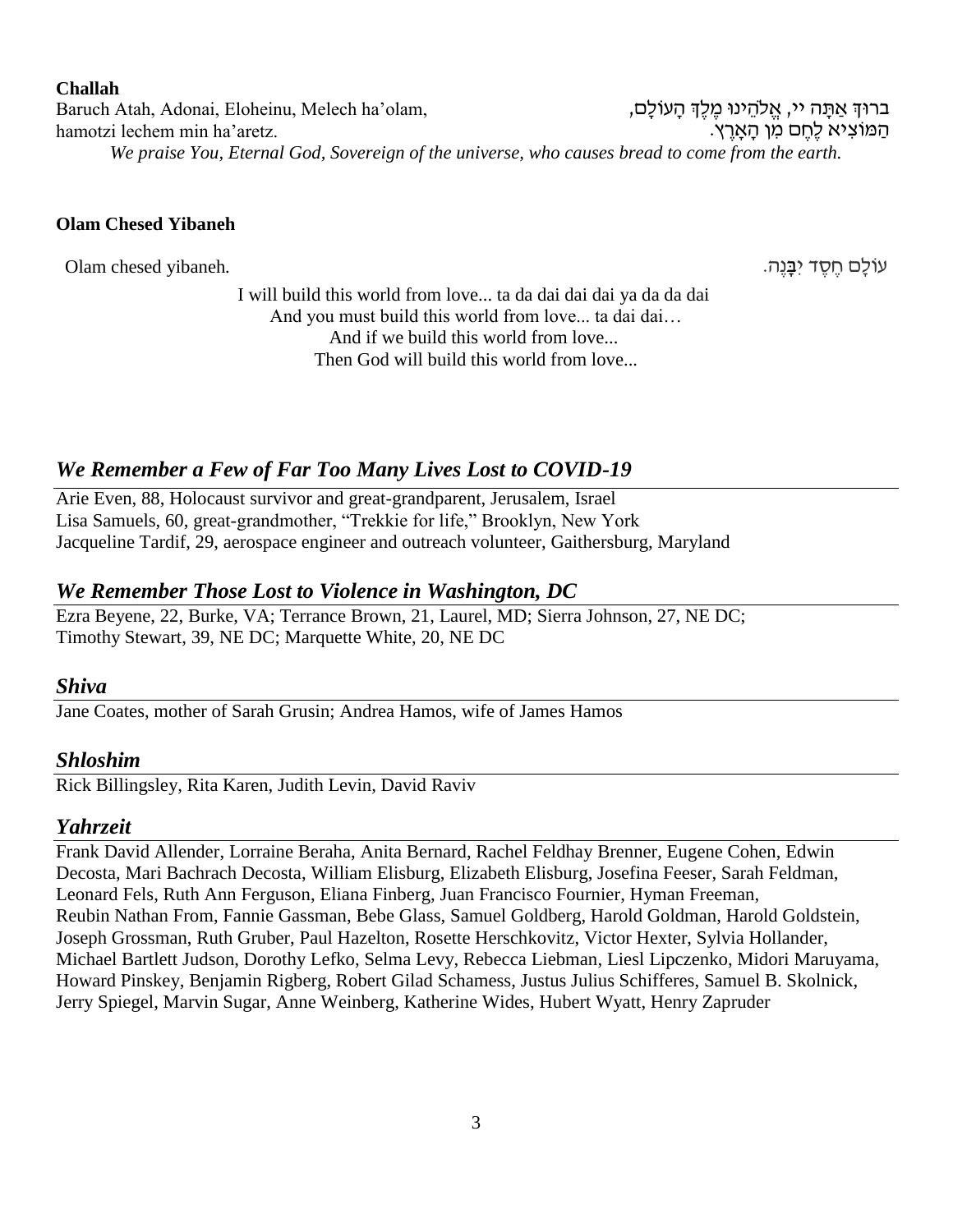#### **Challah**

Baruch Atah, Adonai, Eloheinu, Melech ha'olam, hamotzi lechem min ha'aretz. ברוּךְ אַתָּה יי, אֱלֹהֶינוּ מֶלֶךְ הָעוֹלָם, ּהַמּוֹצִיא לֶחֱם מִן הָאָרֵץ. *We praise You, Eternal God, Sovereign of the universe, who causes bread to come from the earth.*

#### **Olam Chesed Yibaneh**

עֹולָּם חֶׁ סֶׁ ד יִ בָּ נֶׁה. *.*yibaneh chesed Olam

I will build this world from love... ta da dai dai dai ya da da dai And you must build this world from love... ta dai dai… And if we build this world from love... Then God will build this world from love...

## *We Remember a Few of Far Too Many Lives Lost to COVID-19*

Arie Even, 88, Holocaust survivor and great-grandparent, Jerusalem, Israel Lisa Samuels, 60, great-grandmother, "Trekkie for life," Brooklyn, New York Jacqueline Tardif, 29, aerospace engineer and outreach volunteer, Gaithersburg, Maryland

### *We Remember Those Lost to Violence in Washington, DC*

Ezra Beyene, 22, Burke, VA; Terrance Brown, 21, Laurel, MD; Sierra Johnson, 27, NE DC; Timothy Stewart, 39, NE DC; Marquette White, 20, NE DC

#### *Shiva*

Jane Coates, mother of Sarah Grusin; Andrea Hamos, wife of James Hamos

### *Shloshim*

Rick Billingsley, Rita Karen, Judith Levin, David Raviv

#### *Yahrzeit*

Frank David Allender, Lorraine Beraha, Anita Bernard, Rachel Feldhay Brenner, Eugene Cohen, Edwin Decosta, Mari Bachrach Decosta, William Elisburg, Elizabeth Elisburg, Josefina Feeser, Sarah Feldman, Leonard Fels, Ruth Ann Ferguson, Eliana Finberg, Juan Francisco Fournier, Hyman Freeman, Reubin Nathan From, Fannie Gassman, Bebe Glass, Samuel Goldberg, Harold Goldman, Harold Goldstein, Joseph Grossman, Ruth Gruber, Paul Hazelton, Rosette Herschkovitz, Victor Hexter, Sylvia Hollander, Michael Bartlett Judson, Dorothy Lefko, Selma Levy, Rebecca Liebman, Liesl Lipczenko, Midori Maruyama, Howard Pinskey, Benjamin Rigberg, Robert Gilad Schamess, Justus Julius Schifferes, Samuel B. Skolnick, Jerry Spiegel, Marvin Sugar, Anne Weinberg, Katherine Wides, Hubert Wyatt, Henry Zapruder